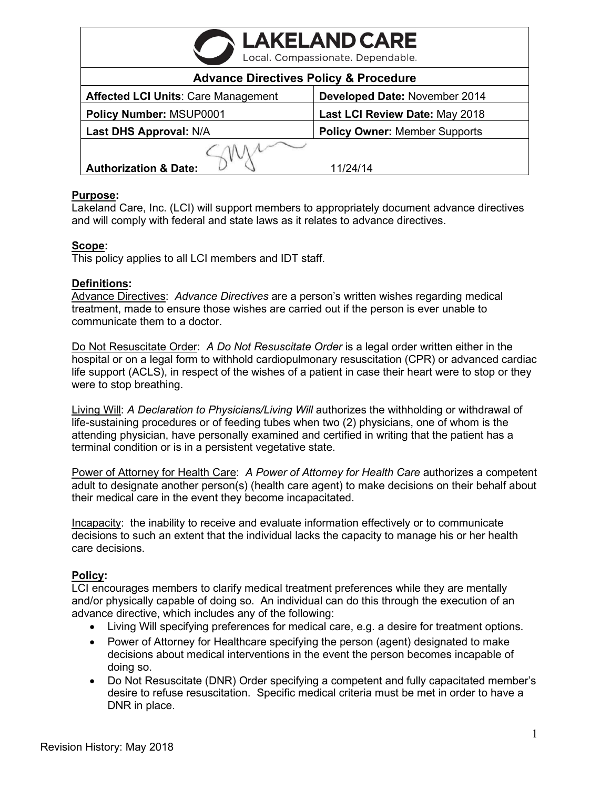| <b>LAKELAND CARE</b><br>Local. Compassionate. Dependable. |                                      |
|-----------------------------------------------------------|--------------------------------------|
| <b>Advance Directives Policy &amp; Procedure</b>          |                                      |
| <b>Affected LCI Units: Care Management</b>                | Developed Date: November 2014        |
| Policy Number: MSUP0001                                   | Last LCI Review Date: May 2018       |
| Last DHS Approval: N/A                                    | <b>Policy Owner: Member Supports</b> |
|                                                           |                                      |
| <b>Authorization &amp; Date:</b>                          | 11/24/14                             |

### **Purpose:**

Lakeland Care, Inc. (LCI) will support members to appropriately document advance directives and will comply with federal and state laws as it relates to advance directives.

### **Scope:**

This policy applies to all LCI members and IDT staff.

#### **Definitions:**

Advance Directives: *Advance Directives* are a person's written wishes regarding medical treatment, made to ensure those wishes are carried out if the person is ever unable to communicate them to a doctor.

Do Not Resuscitate Order: *A Do Not Resuscitate Order* is a legal order written either in the hospital or on a legal form to withhold cardiopulmonary resuscitation (CPR) or advanced cardiac life support (ACLS), in respect of the wishes of a patient in case their heart were to stop or they were to stop breathing.

Living Will: *A Declaration to Physicians/Living Will* authorizes the withholding or withdrawal of life-sustaining procedures or of feeding tubes when two (2) physicians, one of whom is the attending physician, have personally examined and certified in writing that the patient has a terminal condition or is in a persistent vegetative state.

Power of Attorney for Health Care: *A Power of Attorney for Health Care* authorizes a competent adult to designate another person(s) (health care agent) to make decisions on their behalf about their medical care in the event they become incapacitated.

Incapacity: the inability to receive and evaluate information effectively or to communicate decisions to such an extent that the individual lacks the capacity to manage his or her health care decisions.

### **Policy:**

LCI encourages members to clarify medical treatment preferences while they are mentally and/or physically capable of doing so. An individual can do this through the execution of an advance directive, which includes any of the following:

- Living Will specifying preferences for medical care, e.g. a desire for treatment options.
- Power of Attorney for Healthcare specifying the person (agent) designated to make decisions about medical interventions in the event the person becomes incapable of doing so.
- Do Not Resuscitate (DNR) Order specifying a competent and fully capacitated member's desire to refuse resuscitation. Specific medical criteria must be met in order to have a DNR in place.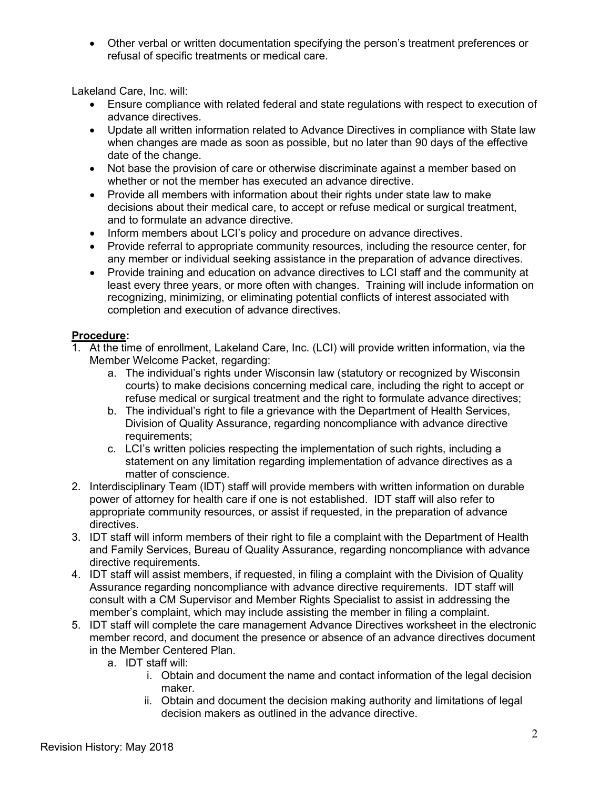• Other verbal or written documentation specifying the person's treatment preferences or refusal of specific treatments or medical care.

Lakeland Care, Inc. will:

- Ensure compliance with related federal and state regulations with respect to execution of advance directives.
- Update all written information related to Advance Directives in compliance with State law when changes are made as soon as possible, but no later than 90 days of the effective date of the change.
- Not base the provision of care or otherwise discriminate against a member based on whether or not the member has executed an advance directive.
- Provide all members with information about their rights under state law to make decisions about their medical care, to accept or refuse medical or surgical treatment, and to formulate an advance directive.
- Inform members about LCI's policy and procedure on advance directives.
- Provide referral to appropriate community resources, including the resource center, for any member or individual seeking assistance in the preparation of advance directives.
- Provide training and education on advance directives to LCI staff and the community at least every three years, or more often with changes. Training will include information on recognizing, minimizing, or eliminating potential conflicts of interest associated with completion and execution of advance directives.

## **Procedure:**

- 1. At the time of enrollment, Lakeland Care, Inc. (LCI) will provide written information, via the Member Welcome Packet, regarding:
	- a. The individual's rights under Wisconsin law (statutory or recognized by Wisconsin courts) to make decisions concerning medical care, including the right to accept or refuse medical or surgical treatment and the right to formulate advance directives;
	- b. The individual's right to file a grievance with the Department of Health Services, Division of Quality Assurance, regarding noncompliance with advance directive requirements;
	- c. LCI's written policies respecting the implementation of such rights, including a statement on any limitation regarding implementation of advance directives as a matter of conscience.
- 2. Interdisciplinary Team (IDT) staff will provide members with written information on durable power of attorney for health care if one is not established. IDT staff will also refer to appropriate community resources, or assist if requested, in the preparation of advance directives.
- 3. IDT staff will inform members of their right to file a complaint with the Department of Health and Family Services, Bureau of Quality Assurance, regarding noncompliance with advance directive requirements.
- 4. IDT staff will assist members, if requested, in filing a complaint with the Division of Quality Assurance regarding noncompliance with advance directive requirements. IDT staff will consult with a CM Supervisor and Member Rights Specialist to assist in addressing the member's complaint, which may include assisting the member in filing a complaint.
- 5. IDT staff will complete the care management Advance Directives worksheet in the electronic member record, and document the presence or absence of an advance directives document in the Member Centered Plan.
	- a. IDT staff will:
		- i. Obtain and document the name and contact information of the legal decision maker.
		- ii. Obtain and document the decision making authority and limitations of legal decision makers as outlined in the advance directive.